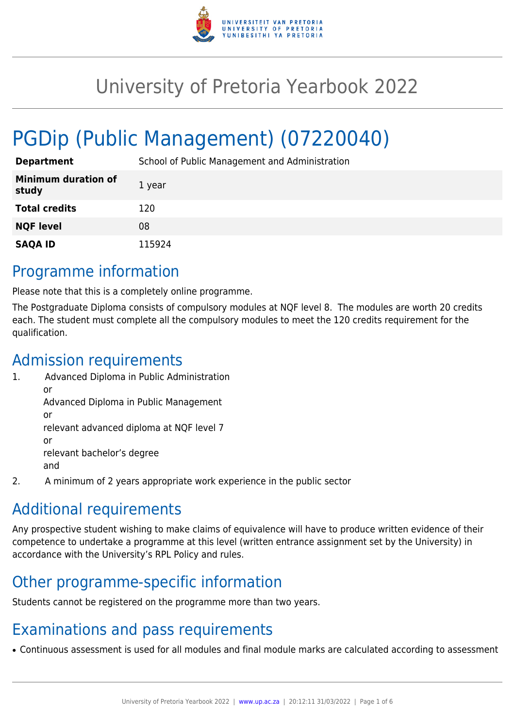

# University of Pretoria Yearbook 2022

# PGDip (Public Management) (07220040)

| <b>Department</b>                   | School of Public Management and Administration |
|-------------------------------------|------------------------------------------------|
| <b>Minimum duration of</b><br>study | 1 year                                         |
| <b>Total credits</b>                | 120                                            |
| <b>NQF level</b>                    | 08                                             |
| <b>SAQA ID</b>                      | 115924                                         |

# Programme information

Please note that this is a completely online programme.

The Postgraduate Diploma consists of compulsory modules at NQF level 8. The modules are worth 20 credits each. The student must complete all the compulsory modules to meet the 120 credits requirement for the qualification.

# Admission requirements

- 1. Advanced Diploma in Public Administration or Advanced Diploma in Public Management or relevant advanced diploma at NQF level 7 or relevant bachelor's degree and
- 2. A minimum of 2 years appropriate work experience in the public sector

# Additional requirements

Any prospective student wishing to make claims of equivalence will have to produce written evidence of their competence to undertake a programme at this level (written entrance assignment set by the University) in accordance with the University's RPL Policy and rules.

# Other programme-specific information

Students cannot be registered on the programme more than two years.

# Examinations and pass requirements

• Continuous assessment is used for all modules and final module marks are calculated according to assessment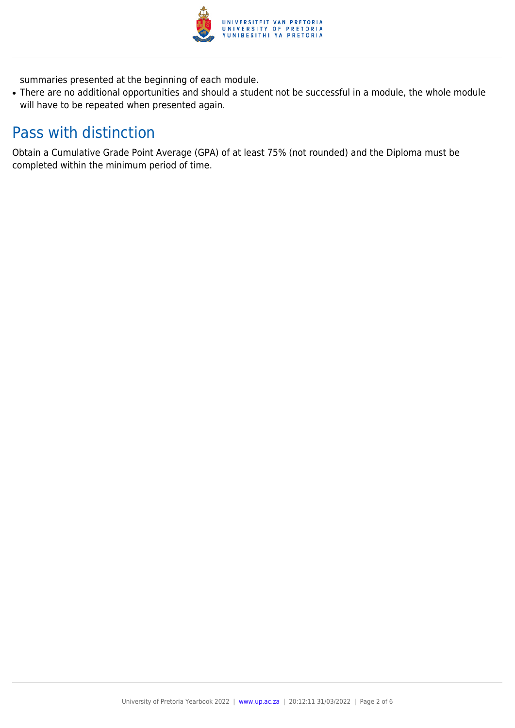

summaries presented at the beginning of each module.

• There are no additional opportunities and should a student not be successful in a module, the whole module will have to be repeated when presented again.

# Pass with distinction

Obtain a Cumulative Grade Point Average (GPA) of at least 75% (not rounded) and the Diploma must be completed within the minimum period of time.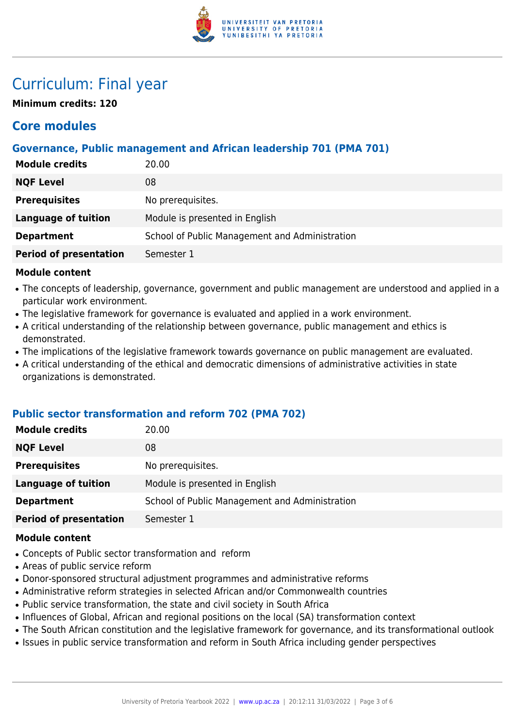

# Curriculum: Final year

**Minimum credits: 120**

## **Core modules**

## **Governance, Public management and African leadership 701 (PMA 701)**

| <b>Module credits</b>         | 20.00                                          |
|-------------------------------|------------------------------------------------|
| <b>NQF Level</b>              | 08                                             |
| <b>Prerequisites</b>          | No prerequisites.                              |
| Language of tuition           | Module is presented in English                 |
| <b>Department</b>             | School of Public Management and Administration |
| <b>Period of presentation</b> | Semester 1                                     |

### **Module content**

- The concepts of leadership, governance, government and public management are understood and applied in a particular work environment.
- The legislative framework for governance is evaluated and applied in a work environment.
- A critical understanding of the relationship between governance, public management and ethics is demonstrated.
- The implications of the legislative framework towards governance on public management are evaluated.
- A critical understanding of the ethical and democratic dimensions of administrative activities in state organizations is demonstrated.

### **Public sector transformation and reform 702 (PMA 702)**

| <b>Module credits</b>         | 20.00                                          |
|-------------------------------|------------------------------------------------|
| <b>NQF Level</b>              | 08                                             |
| <b>Prerequisites</b>          | No prerequisites.                              |
| <b>Language of tuition</b>    | Module is presented in English                 |
| <b>Department</b>             | School of Public Management and Administration |
| <b>Period of presentation</b> | Semester 1                                     |

#### **Module content**

- Concepts of Public sector transformation and reform
- Areas of public service reform
- Donor-sponsored structural adjustment programmes and administrative reforms
- Administrative reform strategies in selected African and/or Commonwealth countries
- Public service transformation, the state and civil society in South Africa
- Influences of Global, African and regional positions on the local (SA) transformation context
- The South African constitution and the legislative framework for governance, and its transformational outlook
- Issues in public service transformation and reform in South Africa including gender perspectives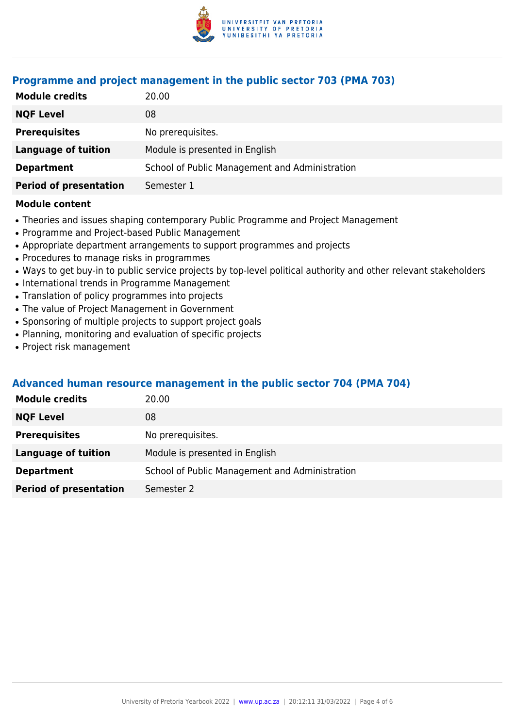

### **Programme and project management in the public sector 703 (PMA 703)**

| 20.00                                          |
|------------------------------------------------|
| 08                                             |
| No prerequisites.                              |
| Module is presented in English                 |
| School of Public Management and Administration |
| Semester 1                                     |
|                                                |

#### **Module content**

- Theories and issues shaping contemporary Public Programme and Project Management
- Programme and Project-based Public Management
- Appropriate department arrangements to support programmes and projects
- Procedures to manage risks in programmes
- Ways to get buy-in to public service projects by top-level political authority and other relevant stakeholders
- International trends in Programme Management
- Translation of policy programmes into projects
- The value of Project Management in Government
- Sponsoring of multiple projects to support project goals
- Planning, monitoring and evaluation of specific projects
- Project risk management

### **Advanced human resource management in the public sector 704 (PMA 704)**

| <b>Module credits</b>         | 20.00                                          |
|-------------------------------|------------------------------------------------|
| <b>NQF Level</b>              | 08                                             |
| <b>Prerequisites</b>          | No prerequisites.                              |
| <b>Language of tuition</b>    | Module is presented in English                 |
| <b>Department</b>             | School of Public Management and Administration |
| <b>Period of presentation</b> | Semester 2                                     |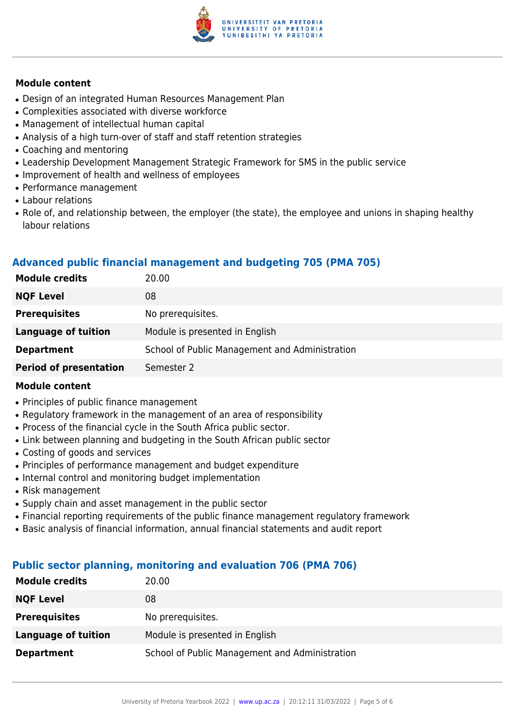

### **Module content**

- Design of an integrated Human Resources Management Plan
- Complexities associated with diverse workforce
- Management of intellectual human capital
- Analysis of a high turn-over of staff and staff retention strategies
- Coaching and mentoring
- Leadership Development Management Strategic Framework for SMS in the public service
- Improvement of health and wellness of employees
- Performance management
- Labour relations
- Role of, and relationship between, the employer (the state), the employee and unions in shaping healthy labour relations

### **Advanced public financial management and budgeting 705 (PMA 705)**

| <b>Module credits</b>         | 20.00                                          |
|-------------------------------|------------------------------------------------|
| <b>NQF Level</b>              | 08                                             |
| <b>Prerequisites</b>          | No prerequisites.                              |
| Language of tuition           | Module is presented in English                 |
| <b>Department</b>             | School of Public Management and Administration |
| <b>Period of presentation</b> | Semester 2                                     |

### **Module content**

- Principles of public finance management
- Regulatory framework in the management of an area of responsibility
- Process of the financial cycle in the South Africa public sector.
- Link between planning and budgeting in the South African public sector
- Costing of goods and services
- Principles of performance management and budget expenditure
- Internal control and monitoring budget implementation
- Risk management
- Supply chain and asset management in the public sector
- Financial reporting requirements of the public finance management regulatory framework
- Basic analysis of financial information, annual financial statements and audit report

### **Public sector planning, monitoring and evaluation 706 (PMA 706)**

| <b>Module credits</b> | 20.00                                          |
|-----------------------|------------------------------------------------|
| <b>NQF Level</b>      | 08                                             |
| <b>Prerequisites</b>  | No prerequisites.                              |
| Language of tuition   | Module is presented in English                 |
| <b>Department</b>     | School of Public Management and Administration |